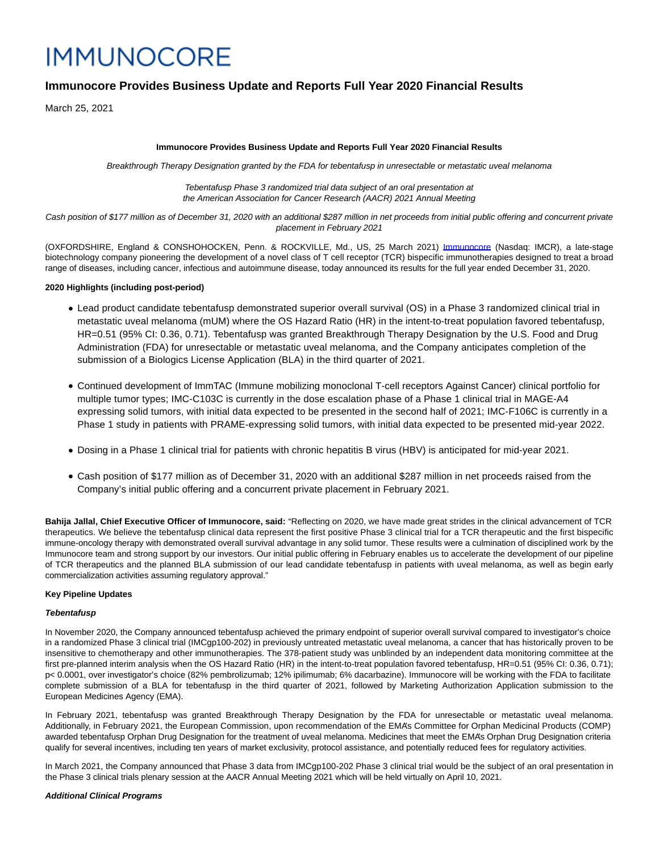# **IMMUNOCORE**

# **Immunocore Provides Business Update and Reports Full Year 2020 Financial Results**

March 25, 2021

#### **Immunocore Provides Business Update and Reports Full Year 2020 Financial Results**

Breakthrough Therapy Designation granted by the FDA for tebentafusp in unresectable or metastatic uveal melanoma

Tebentafusp Phase 3 randomized trial data subject of an oral presentation at the American Association for Cancer Research (AACR) 2021 Annual Meeting

Cash position of \$177 million as of December 31, 2020 with an additional \$287 million in net proceeds from initial public offering and concurrent private placement in February 2021

(OXFORDSHIRE, England & CONSHOHOCKEN, Penn. & ROCKVILLE, Md., US, 25 March 2021) [Immunocore](https://www.globenewswire.com/Tracker?data=ri3upA94elA86O_VRBKY25e_nZKi3zhj2e1aEi0eEDKhiUxwy3yw3b7IvJ0VCVdN_TPcEXhTCPzdpYyLhzC4DQ==) (Nasdaq: IMCR), a late-stage biotechnology company pioneering the development of a novel class of T cell receptor (TCR) bispecific immunotherapies designed to treat a broad range of diseases, including cancer, infectious and autoimmune disease, today announced its results for the full year ended December 31, 2020.

# **2020 Highlights (including post-period)**

- Lead product candidate tebentafusp demonstrated superior overall survival (OS) in a Phase 3 randomized clinical trial in metastatic uveal melanoma (mUM) where the OS Hazard Ratio (HR) in the intent-to-treat population favored tebentafusp, HR=0.51 (95% CI: 0.36, 0.71). Tebentafusp was granted Breakthrough Therapy Designation by the U.S. Food and Drug Administration (FDA) for unresectable or metastatic uveal melanoma, and the Company anticipates completion of the submission of a Biologics License Application (BLA) in the third quarter of 2021.
- Continued development of ImmTAC (Immune mobilizing monoclonal T-cell receptors Against Cancer) clinical portfolio for multiple tumor types; IMC-C103C is currently in the dose escalation phase of a Phase 1 clinical trial in MAGE-A4 expressing solid tumors, with initial data expected to be presented in the second half of 2021; IMC-F106C is currently in a Phase 1 study in patients with PRAME-expressing solid tumors, with initial data expected to be presented mid-year 2022.
- Dosing in a Phase 1 clinical trial for patients with chronic hepatitis B virus (HBV) is anticipated for mid-year 2021.
- Cash position of \$177 million as of December 31, 2020 with an additional \$287 million in net proceeds raised from the Company's initial public offering and a concurrent private placement in February 2021.

**Bahija Jallal, Chief Executive Officer of Immunocore, said:** "Reflecting on 2020, we have made great strides in the clinical advancement of TCR therapeutics. We believe the tebentafusp clinical data represent the first positive Phase 3 clinical trial for a TCR therapeutic and the first bispecific immune-oncology therapy with demonstrated overall survival advantage in any solid tumor. These results were a culmination of disciplined work by the Immunocore team and strong support by our investors. Our initial public offering in February enables us to accelerate the development of our pipeline of TCR therapeutics and the planned BLA submission of our lead candidate tebentafusp in patients with uveal melanoma, as well as begin early commercialization activities assuming regulatory approval."

# **Key Pipeline Updates**

#### **Tebentafusp**

In November 2020, the Company announced tebentafusp achieved the primary endpoint of superior overall survival compared to investigator's choice in a randomized Phase 3 clinical trial (IMCgp100-202) in previously untreated metastatic uveal melanoma, a cancer that has historically proven to be insensitive to chemotherapy and other immunotherapies. The 378-patient study was unblinded by an independent data monitoring committee at the first pre-planned interim analysis when the OS Hazard Ratio (HR) in the intent-to-treat population favored tebentafusp, HR=0.51 (95% CI: 0.36, 0.71); p< 0.0001, over investigator's choice (82% pembrolizumab; 12% ipilimumab; 6% dacarbazine). Immunocore will be working with the FDA to facilitate complete submission of a BLA for tebentafusp in the third quarter of 2021, followed by Marketing Authorization Application submission to the European Medicines Agency (EMA).

In February 2021, tebentafusp was granted Breakthrough Therapy Designation by the FDA for unresectable or metastatic uveal melanoma. Additionally, in February 2021, the European Commission, upon recommendation of the EMA's Committee for Orphan Medicinal Products (COMP) awarded tebentafusp Orphan Drug Designation for the treatment of uveal melanoma. Medicines that meet the EMA's Orphan Drug Designation criteria qualify for several incentives, including ten years of market exclusivity, protocol assistance, and potentially reduced fees for regulatory activities.

In March 2021, the Company announced that Phase 3 data from IMCgp100-202 Phase 3 clinical trial would be the subject of an oral presentation in the Phase 3 clinical trials plenary session at the AACR Annual Meeting 2021 which will be held virtually on April 10, 2021.

#### **Additional Clinical Programs**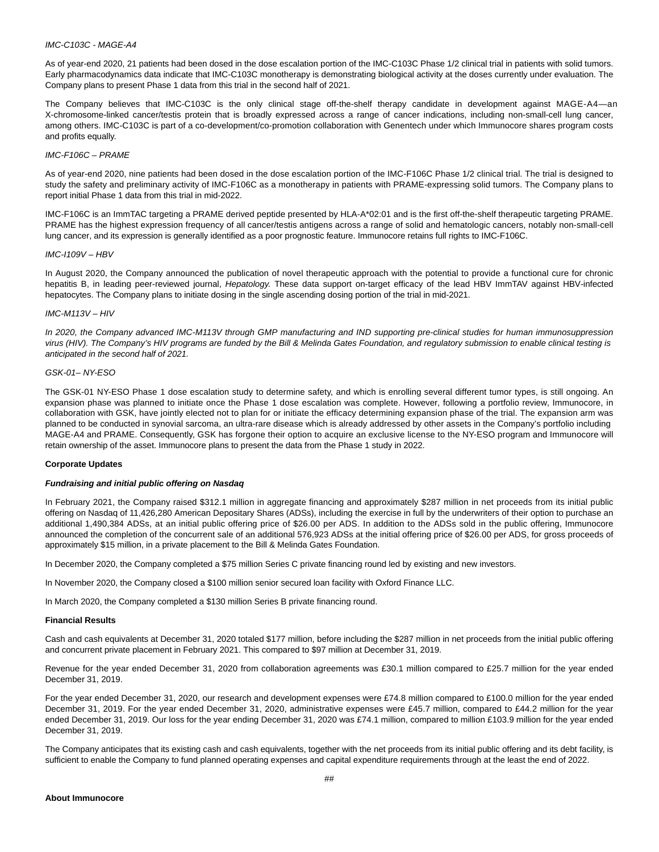#### IMC-C103C - MAGE-A4

As of year-end 2020, 21 patients had been dosed in the dose escalation portion of the IMC-C103C Phase 1/2 clinical trial in patients with solid tumors. Early pharmacodynamics data indicate that IMC-C103C monotherapy is demonstrating biological activity at the doses currently under evaluation. The Company plans to present Phase 1 data from this trial in the second half of 2021.

The Company believes that IMC-C103C is the only clinical stage off-the-shelf therapy candidate in development against MAGE-A4—an X-chromosome-linked cancer/testis protein that is broadly expressed across a range of cancer indications, including non-small-cell lung cancer, among others. IMC-C103C is part of a co-development/co-promotion collaboration with Genentech under which Immunocore shares program costs and profits equally.

## IMC-F106C – PRAME

As of year-end 2020, nine patients had been dosed in the dose escalation portion of the IMC-F106C Phase 1/2 clinical trial. The trial is designed to study the safety and preliminary activity of IMC-F106C as a monotherapy in patients with PRAME-expressing solid tumors. The Company plans to report initial Phase 1 data from this trial in mid-2022.

IMC-F106C is an ImmTAC targeting a PRAME derived peptide presented by HLA-A\*02:01 and is the first off-the-shelf therapeutic targeting PRAME. PRAME has the highest expression frequency of all cancer/testis antigens across a range of solid and hematologic cancers, notably non-small-cell lung cancer, and its expression is generally identified as a poor prognostic feature. Immunocore retains full rights to IMC-F106C.

#### IMC-I109V – HBV

In August 2020, the Company announced the publication of novel therapeutic approach with the potential to provide a functional cure for chronic hepatitis B, in leading peer-reviewed journal, Hepatology. These data support on-target efficacy of the lead HBV ImmTAV against HBV-infected hepatocytes. The Company plans to initiate dosing in the single ascending dosing portion of the trial in mid-2021.

# IMC-M113V – HIV

In 2020, the Company advanced IMC-M113V through GMP manufacturing and IND supporting pre-clinical studies for human immunosuppression virus (HIV). The Company's HIV programs are funded by the Bill & Melinda Gates Foundation, and regulatory submission to enable clinical testing is anticipated in the second half of 2021.

# GSK-01– NY-ESO

The GSK-01 NY-ESO Phase 1 dose escalation study to determine safety, and which is enrolling several different tumor types, is still ongoing. An expansion phase was planned to initiate once the Phase 1 dose escalation was complete. However, following a portfolio review, Immunocore, in collaboration with GSK, have jointly elected not to plan for or initiate the efficacy determining expansion phase of the trial. The expansion arm was planned to be conducted in synovial sarcoma, an ultra-rare disease which is already addressed by other assets in the Company's portfolio including MAGE-A4 and PRAME. Consequently, GSK has forgone their option to acquire an exclusive license to the NY-ESO program and Immunocore will retain ownership of the asset. Immunocore plans to present the data from the Phase 1 study in 2022.

#### **Corporate Updates**

#### **Fundraising and initial public offering on Nasdaq**

In February 2021, the Company raised \$312.1 million in aggregate financing and approximately \$287 million in net proceeds from its initial public offering on Nasdaq of 11,426,280 American Depositary Shares (ADSs), including the exercise in full by the underwriters of their option to purchase an additional 1,490,384 ADSs, at an initial public offering price of \$26.00 per ADS. In addition to the ADSs sold in the public offering, Immunocore announced the completion of the concurrent sale of an additional 576,923 ADSs at the initial offering price of \$26.00 per ADS, for gross proceeds of approximately \$15 million, in a private placement to the Bill & Melinda Gates Foundation.

In December 2020, the Company completed a \$75 million Series C private financing round led by existing and new investors.

In November 2020, the Company closed a \$100 million senior secured loan facility with Oxford Finance LLC.

In March 2020, the Company completed a \$130 million Series B private financing round.

# **Financial Results**

Cash and cash equivalents at December 31, 2020 totaled \$177 million, before including the \$287 million in net proceeds from the initial public offering and concurrent private placement in February 2021. This compared to \$97 million at December 31, 2019.

Revenue for the year ended December 31, 2020 from collaboration agreements was £30.1 million compared to £25.7 million for the year ended December 31, 2019.

For the year ended December 31, 2020, our research and development expenses were £74.8 million compared to £100.0 million for the year ended December 31, 2019. For the year ended December 31, 2020, administrative expenses were £45.7 million, compared to £44.2 million for the year ended December 31, 2019. Our loss for the year ending December 31, 2020 was £74.1 million, compared to million £103.9 million for the year ended December 31, 2019.

The Company anticipates that its existing cash and cash equivalents, together with the net proceeds from its initial public offering and its debt facility, is sufficient to enable the Company to fund planned operating expenses and capital expenditure requirements through at the least the end of 2022.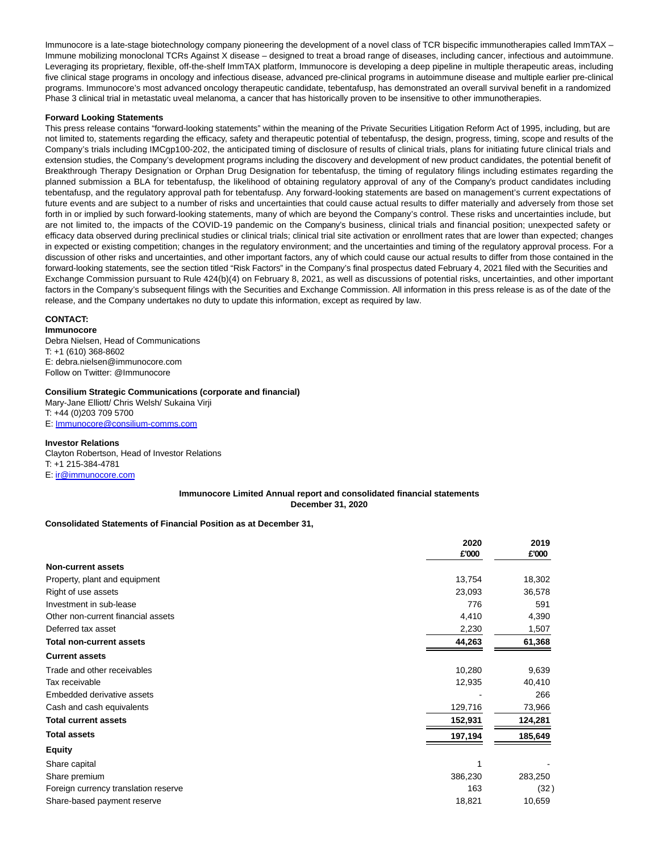Immunocore is a late-stage biotechnology company pioneering the development of a novel class of TCR bispecific immunotherapies called ImmTAX – Immune mobilizing monoclonal TCRs Against X disease – designed to treat a broad range of diseases, including cancer, infectious and autoimmune. Leveraging its proprietary, flexible, off-the-shelf ImmTAX platform, Immunocore is developing a deep pipeline in multiple therapeutic areas, including five clinical stage programs in oncology and infectious disease, advanced pre-clinical programs in autoimmune disease and multiple earlier pre-clinical programs. Immunocore's most advanced oncology therapeutic candidate, tebentafusp, has demonstrated an overall survival benefit in a randomized Phase 3 clinical trial in metastatic uveal melanoma, a cancer that has historically proven to be insensitive to other immunotherapies.

# **Forward Looking Statements**

This press release contains "forward-looking statements" within the meaning of the Private Securities Litigation Reform Act of 1995, including, but are not limited to, statements regarding the efficacy, safety and therapeutic potential of tebentafusp, the design, progress, timing, scope and results of the Company's trials including IMCgp100-202, the anticipated timing of disclosure of results of clinical trials, plans for initiating future clinical trials and extension studies, the Company's development programs including the discovery and development of new product candidates, the potential benefit of Breakthrough Therapy Designation or Orphan Drug Designation for tebentafusp, the timing of regulatory filings including estimates regarding the planned submission a BLA for tebentafusp, the likelihood of obtaining regulatory approval of any of the Company's product candidates including tebentafusp, and the regulatory approval path for tebentafusp. Any forward-looking statements are based on management's current expectations of future events and are subject to a number of risks and uncertainties that could cause actual results to differ materially and adversely from those set forth in or implied by such forward-looking statements, many of which are beyond the Company's control. These risks and uncertainties include, but are not limited to, the impacts of the COVID-19 pandemic on the Company's business, clinical trials and financial position; unexpected safety or efficacy data observed during preclinical studies or clinical trials; clinical trial site activation or enrollment rates that are lower than expected; changes in expected or existing competition; changes in the regulatory environment; and the uncertainties and timing of the regulatory approval process. For a discussion of other risks and uncertainties, and other important factors, any of which could cause our actual results to differ from those contained in the forward-looking statements, see the section titled "Risk Factors" in the Company's final prospectus dated February 4, 2021 filed with the Securities and Exchange Commission pursuant to Rule 424(b)(4) on February 8, 2021, as well as discussions of potential risks, uncertainties, and other important factors in the Company's subsequent filings with the Securities and Exchange Commission. All information in this press release is as of the date of the release, and the Company undertakes no duty to update this information, except as required by law.

#### **CONTACT:**

**Immunocore**

Debra Nielsen, Head of Communications T: +1 (610) 368-8602 E: debra.nielsen@immunocore.com Follow on Twitter: @Immunocore

#### **Consilium Strategic Communications (corporate and financial)**

Mary-Jane Elliott/ Chris Welsh/ Sukaina Virji T: +44 (0)203 709 5700 E: [Immunocore@consilium-comms.com](https://www.globenewswire.com/Tracker?data=ri3upA94elA86O_VRBKY27O-ocOwNqhwVVdjd2_M18aVre3zJXJIaZF8GV3FNVeufS6f6kHJ57JcTMlmmpkracT2QILTfjaeQ6akcBEz4uXVXC0MHz2UIq_SGcLKxCzH)

# **Investor Relations**

Clayton Robertson, Head of Investor Relations T: +1 215-384-4781 E: [ir@immunocore.com](https://www.globenewswire.com/Tracker?data=CKd78SKWZ4vPcGSuoo4Nm-3J64_9s-4xyCA07p-KaFMfgF7nC9znc9XZl8Fpw0f7fxhJXAJWIB5HSbyjHAcp8rvJOBJiR2swb5HTu2x2NGo=)

#### **Immunocore Limited Annual report and consolidated financial statements December 31, 2020**

# **Consolidated Statements of Financial Position as at December 31,**

|                                      | 2020<br>£'000 | 2019<br>£'000 |
|--------------------------------------|---------------|---------------|
| <b>Non-current assets</b>            |               |               |
| Property, plant and equipment        | 13,754        | 18,302        |
| Right of use assets                  | 23,093        | 36,578        |
| Investment in sub-lease              | 776           | 591           |
| Other non-current financial assets   | 4,410         | 4,390         |
| Deferred tax asset                   | 2,230         | 1,507         |
| <b>Total non-current assets</b>      | 44,263        | 61,368        |
| <b>Current assets</b>                |               |               |
| Trade and other receivables          | 10,280        | 9,639         |
| Tax receivable                       | 12,935        | 40,410        |
| Embedded derivative assets           |               | 266           |
| Cash and cash equivalents            | 129,716       | 73,966        |
| <b>Total current assets</b>          | 152,931       | 124,281       |
| <b>Total assets</b>                  | 197,194       | 185,649       |
| <b>Equity</b>                        |               |               |
| Share capital                        |               |               |
| Share premium                        | 386,230       | 283,250       |
| Foreign currency translation reserve | 163           | (32)          |
| Share-based payment reserve          | 18,821        | 10,659        |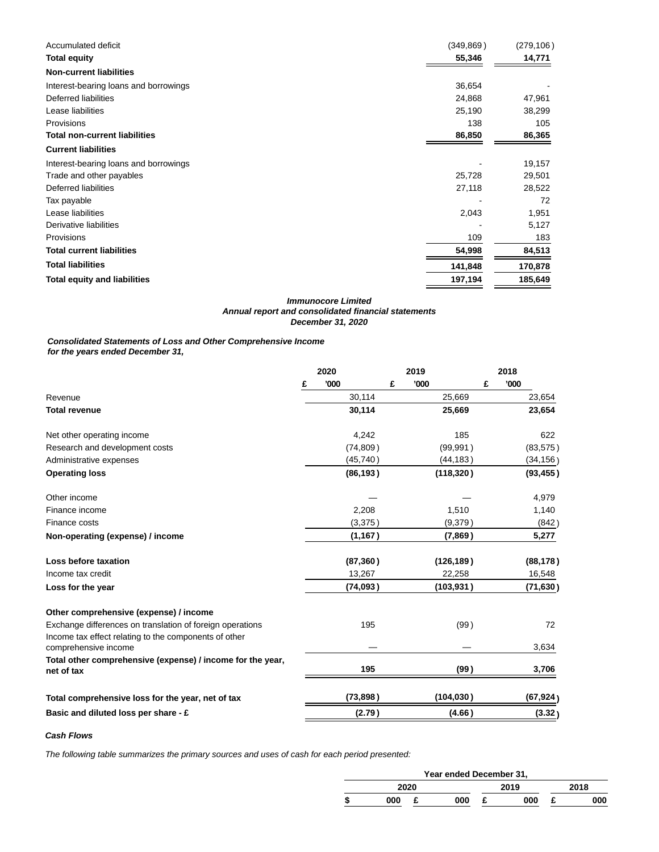| Accumulated deficit                   | (349, 869) | (279, 106) |
|---------------------------------------|------------|------------|
| <b>Total equity</b>                   | 55,346     | 14,771     |
| <b>Non-current liabilities</b>        |            |            |
| Interest-bearing loans and borrowings | 36,654     |            |
| <b>Deferred liabilities</b>           | 24,868     | 47,961     |
| Lease liabilities                     | 25,190     | 38,299     |
| <b>Provisions</b>                     | 138        | 105        |
| <b>Total non-current liabilities</b>  | 86,850     | 86,365     |
| <b>Current liabilities</b>            |            |            |
| Interest-bearing loans and borrowings |            | 19,157     |
| Trade and other payables              | 25,728     | 29,501     |
| Deferred liabilities                  | 27,118     | 28,522     |
| Tax payable                           |            | 72         |
| Lease liabilities                     | 2,043      | 1,951      |
| Derivative liabilities                |            | 5,127      |
| <b>Provisions</b>                     | 109        | 183        |
| <b>Total current liabilities</b>      | 54,998     | 84,513     |
| <b>Total liabilities</b>              | 141,848    | 170,878    |
| Total equity and liabilities          | 197,194    | 185,649    |

# **Immunocore Limited Annual report and consolidated financial statements December 31, 2020**

**Consolidated Statements of Loss and Other Comprehensive Income for the years ended December 31,**

|                                                                               |   | 2020     |           |            | 2019 |            |   | 2018      |           |
|-------------------------------------------------------------------------------|---|----------|-----------|------------|------|------------|---|-----------|-----------|
|                                                                               | £ | '000     |           | £          | '000 |            | £ | '000'     |           |
| Revenue                                                                       |   |          | 30,114    |            |      | 25,669     |   |           | 23,654    |
| <b>Total revenue</b>                                                          |   |          | 30,114    |            |      | 25,669     |   |           | 23,654    |
| Net other operating income                                                    |   |          | 4,242     |            |      | 185        |   |           | 622       |
| Research and development costs                                                |   |          | (74, 809) |            |      | (99, 991)  |   |           | (83, 575) |
| Administrative expenses                                                       |   |          | (45, 740) |            |      | (44, 183)  |   |           | (34, 156) |
| <b>Operating loss</b>                                                         |   |          | (86, 193) |            |      | (118, 320) |   |           | (93, 455) |
| Other income                                                                  |   |          |           |            |      |            |   |           | 4,979     |
| Finance income                                                                |   |          | 2,208     |            |      | 1,510      |   |           | 1,140     |
| Finance costs                                                                 |   |          | (3,375)   |            |      | (9,379)    |   |           | (842)     |
| Non-operating (expense) / income                                              |   |          | (1, 167)  |            |      | (7,869)    |   |           | 5,277     |
| Loss before taxation                                                          |   |          | (87, 360) |            |      | (126, 189) |   |           | (88, 178) |
| Income tax credit                                                             |   |          | 13,267    |            |      | 22,258     |   |           | 16,548    |
| Loss for the year                                                             |   | (74,093) |           | (103, 931) |      |            |   | (71, 630) |           |
| Other comprehensive (expense) / income                                        |   |          |           |            |      |            |   |           |           |
| Exchange differences on translation of foreign operations                     |   |          | 195       |            |      | (99)       |   |           | 72        |
| Income tax effect relating to the components of other<br>comprehensive income |   |          |           |            |      |            |   |           | 3,634     |
| Total other comprehensive (expense) / income for the year,<br>net of tax      |   |          | 195       |            |      | (99)       |   |           | 3,706     |
| Total comprehensive loss for the year, net of tax                             |   |          | (73, 898) |            |      | (104, 030) |   |           | (67, 924) |
| Basic and diluted loss per share - £                                          |   |          | (2.79)    |            |      | (4.66)     |   |           | (3.32)    |

# **Cash Flows**

The following table summarizes the primary sources and uses of cash for each period presented:

| Year ended December 31, |     |  |     |      |      |  |     |  |
|-------------------------|-----|--|-----|------|------|--|-----|--|
| 2020                    |     |  |     | 2019 | 2018 |  |     |  |
|                         | 000 |  | 000 |      | 000  |  | 000 |  |